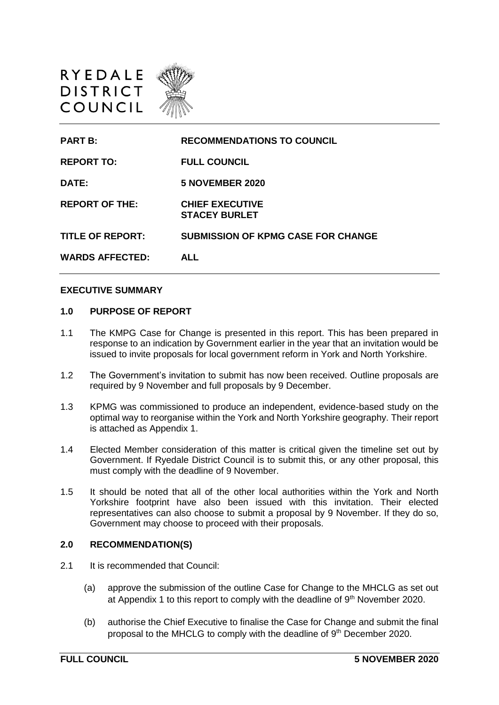

| <b>PART B:</b>          | <b>RECOMMENDATIONS TO COUNCIL</b>              |
|-------------------------|------------------------------------------------|
| <b>REPORT TO:</b>       | <b>FULL COUNCIL</b>                            |
| DATE:                   | <b>5 NOVEMBER 2020</b>                         |
| <b>REPORT OF THE:</b>   | <b>CHIEF EXECUTIVE</b><br><b>STACEY BURLET</b> |
| <b>TITLE OF REPORT:</b> | <b>SUBMISSION OF KPMG CASE FOR CHANGE</b>      |
| <b>WARDS AFFECTED:</b>  | AI I                                           |

#### **EXECUTIVE SUMMARY**

#### **1.0 PURPOSE OF REPORT**

- 1.1 The KMPG Case for Change is presented in this report. This has been prepared in response to an indication by Government earlier in the year that an invitation would be issued to invite proposals for local government reform in York and North Yorkshire.
- 1.2 The Government's invitation to submit has now been received. Outline proposals are required by 9 November and full proposals by 9 December.
- 1.3 KPMG was commissioned to produce an independent, evidence-based study on the optimal way to reorganise within the York and North Yorkshire geography. Their report is attached as Appendix 1.
- 1.4 Elected Member consideration of this matter is critical given the timeline set out by Government. If Ryedale District Council is to submit this, or any other proposal, this must comply with the deadline of 9 November.
- 1.5 It should be noted that all of the other local authorities within the York and North Yorkshire footprint have also been issued with this invitation. Their elected representatives can also choose to submit a proposal by 9 November. If they do so, Government may choose to proceed with their proposals.

#### **2.0 RECOMMENDATION(S)**

- 2.1 It is recommended that Council:
	- (a) approve the submission of the outline Case for Change to the MHCLG as set out at Appendix 1 to this report to comply with the deadline of 9<sup>th</sup> November 2020.
	- (b) authorise the Chief Executive to finalise the Case for Change and submit the final proposal to the MHCLG to comply with the deadline of 9th December 2020.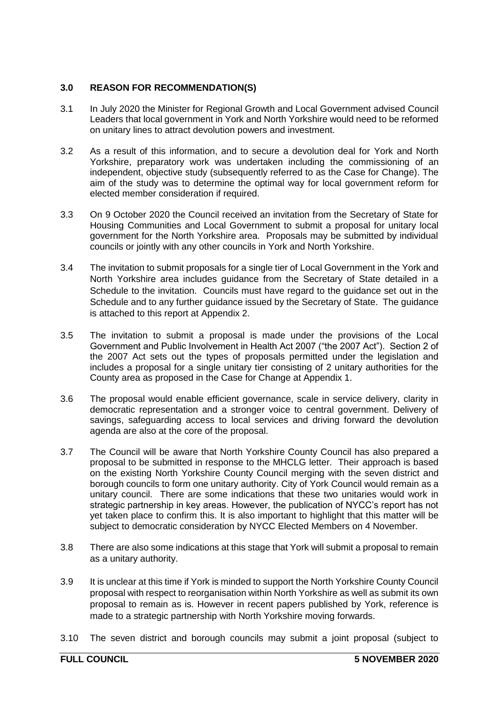## **3.0 REASON FOR RECOMMENDATION(S)**

- 3.1 In July 2020 the Minister for Regional Growth and Local Government advised Council Leaders that local government in York and North Yorkshire would need to be reformed on unitary lines to attract devolution powers and investment.
- 3.2 As a result of this information, and to secure a devolution deal for York and North Yorkshire, preparatory work was undertaken including the commissioning of an independent, objective study (subsequently referred to as the Case for Change). The aim of the study was to determine the optimal way for local government reform for elected member consideration if required.
- 3.3 On 9 October 2020 the Council received an invitation from the Secretary of State for Housing Communities and Local Government to submit a proposal for unitary local government for the North Yorkshire area. Proposals may be submitted by individual councils or jointly with any other councils in York and North Yorkshire.
- 3.4 The invitation to submit proposals for a single tier of Local Government in the York and North Yorkshire area includes guidance from the Secretary of State detailed in a Schedule to the invitation. Councils must have regard to the guidance set out in the Schedule and to any further guidance issued by the Secretary of State. The guidance is attached to this report at Appendix 2.
- 3.5 The invitation to submit a proposal is made under the provisions of the Local Government and Public Involvement in Health Act 2007 ("the 2007 Act"). Section 2 of the 2007 Act sets out the types of proposals permitted under the legislation and includes a proposal for a single unitary tier consisting of 2 unitary authorities for the County area as proposed in the Case for Change at Appendix 1.
- 3.6 The proposal would enable efficient governance, scale in service delivery, clarity in democratic representation and a stronger voice to central government. Delivery of savings, safeguarding access to local services and driving forward the devolution agenda are also at the core of the proposal.
- 3.7 The Council will be aware that North Yorkshire County Council has also prepared a proposal to be submitted in response to the MHCLG letter. Their approach is based on the existing North Yorkshire County Council merging with the seven district and borough councils to form one unitary authority. City of York Council would remain as a unitary council. There are some indications that these two unitaries would work in strategic partnership in key areas. However, the publication of NYCC's report has not yet taken place to confirm this. It is also important to highlight that this matter will be subject to democratic consideration by NYCC Elected Members on 4 November.
- 3.8 There are also some indications at this stage that York will submit a proposal to remain as a unitary authority.
- 3.9 It is unclear at this time if York is minded to support the North Yorkshire County Council proposal with respect to reorganisation within North Yorkshire as well as submit its own proposal to remain as is. However in recent papers published by York, reference is made to a strategic partnership with North Yorkshire moving forwards.
- 3.10 The seven district and borough councils may submit a joint proposal (subject to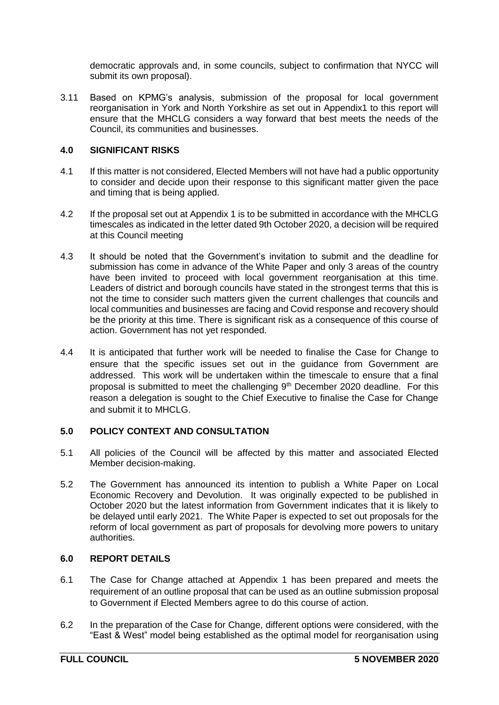democratic approvals and, in some councils, subject to confirmation that NYCC will submit its own proposal).

3.11 Based on KPMG's analysis, submission of the proposal for local government reorganisation in York and North Yorkshire as set out in Appendix1 to this report will ensure that the MHCLG considers a way forward that best meets the needs of the Council, its communities and businesses.

## **4.0 SIGNIFICANT RISKS**

- 4.1 If this matter is not considered, Elected Members will not have had a public opportunity to consider and decide upon their response to this significant matter given the pace and timing that is being applied.
- 4.2 If the proposal set out at Appendix 1 is to be submitted in accordance with the MHCLG timescales as indicated in the letter dated 9th October 2020, a decision will be required at this Council meeting
- 4.3 It should be noted that the Government's invitation to submit and the deadline for submission has come in advance of the White Paper and only 3 areas of the country have been invited to proceed with local government reorganisation at this time. Leaders of district and borough councils have stated in the strongest terms that this is not the time to consider such matters given the current challenges that councils and local communities and businesses are facing and Covid response and recovery should be the priority at this time. There is significant risk as a consequence of this course of action. Government has not yet responded.
- 4.4 It is anticipated that further work will be needed to finalise the Case for Change to ensure that the specific issues set out in the guidance from Government are addressed. This work will be undertaken within the timescale to ensure that a final proposal is submitted to meet the challenging  $9<sup>th</sup>$  December 2020 deadline. For this reason a delegation is sought to the Chief Executive to finalise the Case for Change and submit it to MHCLG.

### **5.0 POLICY CONTEXT AND CONSULTATION**

- 5.1 All policies of the Council will be affected by this matter and associated Elected Member decision-making.
- 5.2 The Government has announced its intention to publish a White Paper on Local Economic Recovery and Devolution. It was originally expected to be published in October 2020 but the latest information from Government indicates that it is likely to be delayed until early 2021. The White Paper is expected to set out proposals for the reform of local government as part of proposals for devolving more powers to unitary authorities.

### **6.0 REPORT DETAILS**

- 6.1 The Case for Change attached at Appendix 1 has been prepared and meets the requirement of an outline proposal that can be used as an outline submission proposal to Government if Elected Members agree to do this course of action.
- 6.2 In the preparation of the Case for Change, different options were considered, with the "East & West" model being established as the optimal model for reorganisation using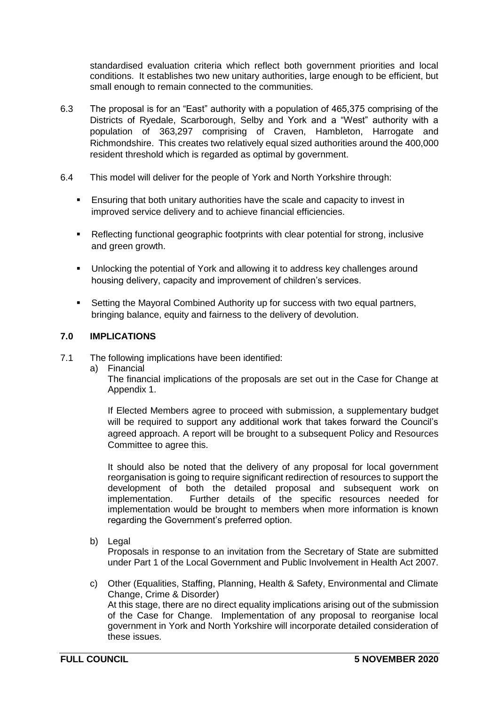standardised evaluation criteria which reflect both government priorities and local conditions. It establishes two new unitary authorities, large enough to be efficient, but small enough to remain connected to the communities.

- 6.3 The proposal is for an "East" authority with a population of 465,375 comprising of the Districts of Ryedale, Scarborough, Selby and York and a "West" authority with a population of 363,297 comprising of Craven, Hambleton, Harrogate and Richmondshire. This creates two relatively equal sized authorities around the 400,000 resident threshold which is regarded as optimal by government.
- 6.4 This model will deliver for the people of York and North Yorkshire through:
	- Ensuring that both unitary authorities have the scale and capacity to invest in improved service delivery and to achieve financial efficiencies.
	- Reflecting functional geographic footprints with clear potential for strong, inclusive and green growth.
	- Unlocking the potential of York and allowing it to address key challenges around housing delivery, capacity and improvement of children's services.
	- Setting the Mayoral Combined Authority up for success with two equal partners, bringing balance, equity and fairness to the delivery of devolution.

# **7.0 IMPLICATIONS**

- 7.1 The following implications have been identified:
	- a) Financial

The financial implications of the proposals are set out in the Case for Change at Appendix 1.

If Elected Members agree to proceed with submission, a supplementary budget will be required to support any additional work that takes forward the Council's agreed approach. A report will be brought to a subsequent Policy and Resources Committee to agree this.

It should also be noted that the delivery of any proposal for local government reorganisation is going to require significant redirection of resources to support the development of both the detailed proposal and subsequent work on implementation. Further details of the specific resources needed for implementation would be brought to members when more information is known regarding the Government's preferred option.

b) Legal

Proposals in response to an invitation from the Secretary of State are submitted under Part 1 of the Local Government and Public Involvement in Health Act 2007.

c) Other (Equalities, Staffing, Planning, Health & Safety, Environmental and Climate Change, Crime & Disorder) At this stage, there are no direct equality implications arising out of the submission of the Case for Change. Implementation of any proposal to reorganise local government in York and North Yorkshire will incorporate detailed consideration of these issues.